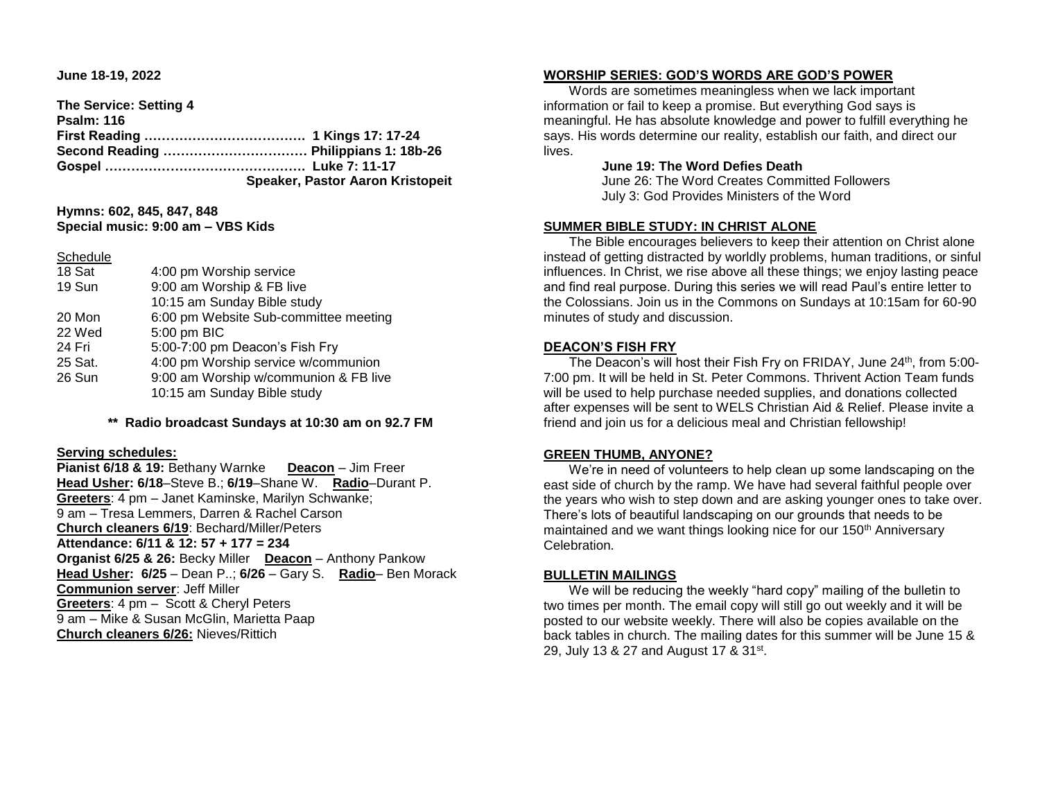**June 18-19, 2022** 

**The Service: Setting 4 Psalm: 116 First Reading ………………………………. 1 Kings 17: 17-24 Second Reading …………………………… Philippians 1: 18b-26 Gospel ………………………………………. Luke 7: 11-17 Speaker, Pastor Aaron Kristopeit**

## **Hymns: 602, 845, 847, 848 Special music: 9:00 am – VBS Kids**

**Schedule** 

| 18 Sat  | 4:00 pm Worship service               |  |  |
|---------|---------------------------------------|--|--|
| 19 Sun  | 9:00 am Worship & FB live             |  |  |
|         | 10:15 am Sunday Bible study           |  |  |
| 20 Mon  | 6:00 pm Website Sub-committee meeting |  |  |
| 22 Wed  | 5:00 pm BIC                           |  |  |
| 24 Fri  | 5:00-7:00 pm Deacon's Fish Fry        |  |  |
| 25 Sat. | 4:00 pm Worship service w/communion   |  |  |
| 26 Sun  | 9:00 am Worship w/communion & FB live |  |  |
|         | 10:15 am Sunday Bible study           |  |  |
|         |                                       |  |  |

**\*\* Radio broadcast Sundays at 10:30 am on 92.7 FM**

#### **Serving schedules:**

**Pianist 6/18 & 19:** Bethany Warnke **Deacon** – Jim Freer **Head Usher: 6/18**–Steve B.; **6/19**–Shane W. **Radio**–Durant P. **Greeters**: 4 pm – Janet Kaminske, Marilyn Schwanke; 9 am – Tresa Lemmers, Darren & Rachel Carson **Church cleaners 6/19**: Bechard/Miller/Peters **Attendance: 6/11 & 12: 57 + 177 = 234 Organist 6/25 & 26:** Becky Miller **Deacon** – Anthony Pankow **Head Usher: 6/25** – Dean P..; **6/26** – Gary S. **Radio**– Ben Morack **Communion server**: Jeff Miller **Greeters**: 4 pm – Scott & Cheryl Peters 9 am – Mike & Susan McGlin, Marietta Paap **Church cleaners 6/26:** Nieves/Rittich

### **WORSHIP SERIES: GOD'S WORDS ARE GOD'S POWER**

 Words are sometimes meaningless when we lack important information or fail to keep a promise. But everything God says is meaningful. He has absolute knowledge and power to fulfill everything he says. His words determine our reality, establish our faith, and direct our lives.

## **June 19: The Word Defies Death**

 June 26: The Word Creates Committed Followers July 3: God Provides Ministers of the Word

## **SUMMER BIBLE STUDY: IN CHRIST ALONE**

 The Bible encourages believers to keep their attention on Christ alone instead of getting distracted by worldly problems, human traditions, or sinful influences. In Christ, we rise above all these things; we enjoy lasting peace and find real purpose. During this series we will read Paul's entire letter to the Colossians. Join us in the Commons on Sundays at 10:15am for 60-90 minutes of study and discussion.

## **DEACON'S FISH FRY**

The Deacon's will host their Fish Fry on FRIDAY, June 24<sup>th</sup>, from 5:00-7:00 pm. It will be held in St. Peter Commons. Thrivent Action Team funds will be used to help purchase needed supplies, and donations collected after expenses will be sent to WELS Christian Aid & Relief. Please invite a friend and join us for a delicious meal and Christian fellowship!

# **GREEN THUMB, ANYONE?**

 We're in need of volunteers to help clean up some landscaping on the east side of church by the ramp. We have had several faithful people over the years who wish to step down and are asking younger ones to take over. There's lots of beautiful landscaping on our grounds that needs to be maintained and we want things looking nice for our 150<sup>th</sup> Anniversary Celebration.

## **BULLETIN MAILINGS**

We will be reducing the weekly "hard copy" mailing of the bulletin to two times per month. The email copy will still go out weekly and it will be posted to our website weekly. There will also be copies available on the back tables in church. The mailing dates for this summer will be June 15 & 29, July 13 & 27 and August 17 & 31<sup>st</sup>.